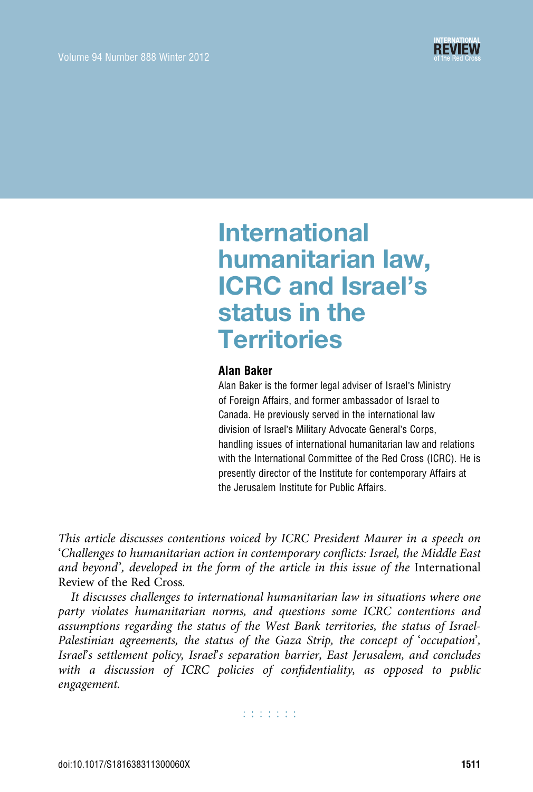

# International humanitarian law, ICRC and Israel*'*s status in the **Territories**

#### Alan Baker

Alan Baker is the former legal adviser of Israel's Ministry of Foreign Affairs, and former ambassador of Israel to Canada. He previously served in the international law division of Israel's Military Advocate General's Corps, handling issues of international humanitarian law and relations with the International Committee of the Red Cross (ICRC). He is presently director of the Institute for contemporary Affairs at the Jerusalem Institute for Public Affairs.

This article discusses contentions voiced by ICRC President Maurer in a speech on 'Challenges to humanitarian action in contemporary conflicts: Israel, the Middle East and beyond', developed in the form of the article in this issue of the International Review of the Red Cross.

It discusses challenges to international humanitarian law in situations where one party violates humanitarian norms, and questions some ICRC contentions and assumptions regarding the status of the West Bank territories, the status of Israel-Palestinian agreements, the status of the Gaza Strip, the concept of 'occupation', Israel's settlement policy, Israel's separation barrier, East Jerusalem, and concludes with a discussion of ICRC policies of confidentiality, as opposed to public engagement.

#### **ESSER**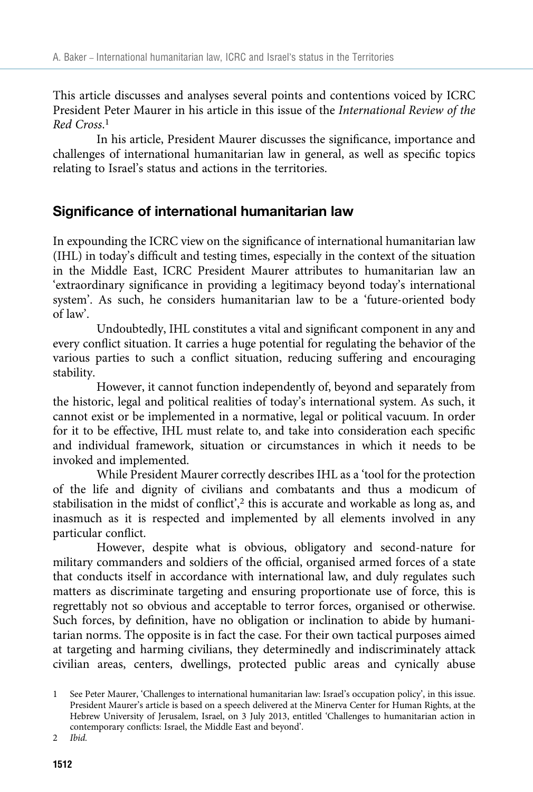This article discusses and analyses several points and contentions voiced by ICRC President Peter Maurer in his article in this issue of the International Review of the Red Cross. 1

In his article, President Maurer discusses the significance, importance and challenges of international humanitarian law in general, as well as specific topics relating to Israel's status and actions in the territories.

# Significance of international humanitarian law

In expounding the ICRC view on the significance of international humanitarian law (IHL) in today's difficult and testing times, especially in the context of the situation in the Middle East, ICRC President Maurer attributes to humanitarian law an 'extraordinary significance in providing a legitimacy beyond today's international system'. As such, he considers humanitarian law to be a 'future-oriented body of law'.

Undoubtedly, IHL constitutes a vital and significant component in any and every conflict situation. It carries a huge potential for regulating the behavior of the various parties to such a conflict situation, reducing suffering and encouraging stability.

However, it cannot function independently of, beyond and separately from the historic, legal and political realities of today's international system. As such, it cannot exist or be implemented in a normative, legal or political vacuum. In order for it to be effective, IHL must relate to, and take into consideration each specific and individual framework, situation or circumstances in which it needs to be invoked and implemented.

While President Maurer correctly describes IHL as a 'tool for the protection of the life and dignity of civilians and combatants and thus a modicum of stabilisation in the midst of conflict', <sup>2</sup> this is accurate and workable as long as, and inasmuch as it is respected and implemented by all elements involved in any particular conflict.

However, despite what is obvious, obligatory and second-nature for military commanders and soldiers of the official, organised armed forces of a state that conducts itself in accordance with international law, and duly regulates such matters as discriminate targeting and ensuring proportionate use of force, this is regrettably not so obvious and acceptable to terror forces, organised or otherwise. Such forces, by definition, have no obligation or inclination to abide by humanitarian norms. The opposite is in fact the case. For their own tactical purposes aimed at targeting and harming civilians, they determinedly and indiscriminately attack civilian areas, centers, dwellings, protected public areas and cynically abuse

2 Ibid.

<sup>1</sup> See Peter Maurer, 'Challenges to international humanitarian law: Israel's occupation policy', in this issue. President Maurer's article is based on a speech delivered at the Minerva Center for Human Rights, at the Hebrew University of Jerusalem, Israel, on 3 July 2013, entitled 'Challenges to humanitarian action in contemporary conflicts: Israel, the Middle East and beyond'.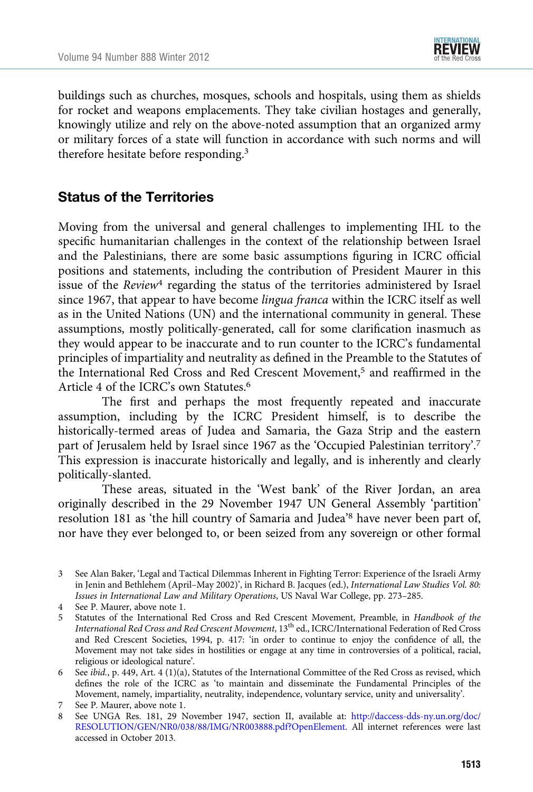

buildings such as churches, mosques, schools and hospitals, using them as shields for rocket and weapons emplacements. They take civilian hostages and generally, knowingly utilize and rely on the above-noted assumption that an organized army or military forces of a state will function in accordance with such norms and will therefore hesitate before responding.3

# Status of the Territories

Moving from the universal and general challenges to implementing IHL to the specific humanitarian challenges in the context of the relationship between Israel and the Palestinians, there are some basic assumptions figuring in ICRC official positions and statements, including the contribution of President Maurer in this issue of the Review<sup>4</sup> regarding the status of the territories administered by Israel since 1967, that appear to have become lingua franca within the ICRC itself as well as in the United Nations (UN) and the international community in general. These assumptions, mostly politically-generated, call for some clarification inasmuch as they would appear to be inaccurate and to run counter to the ICRC's fundamental principles of impartiality and neutrality as defined in the Preamble to the Statutes of the International Red Cross and Red Crescent Movement,<sup>5</sup> and reaffirmed in the Article 4 of the ICRC's own Statutes.6

The first and perhaps the most frequently repeated and inaccurate assumption, including by the ICRC President himself, is to describe the historically-termed areas of Judea and Samaria, the Gaza Strip and the eastern part of Jerusalem held by Israel since 1967 as the 'Occupied Palestinian territory'.<sup>7</sup> This expression is inaccurate historically and legally, and is inherently and clearly politically-slanted.

These areas, situated in the 'West bank' of the River Jordan, an area originally described in the 29 November 1947 UN General Assembly 'partition' resolution 181 as 'the hill country of Samaria and Judea' <sup>8</sup> have never been part of, nor have they ever belonged to, or been seized from any sovereign or other formal

4 See P. Maurer, above note 1.

<sup>3</sup> See Alan Baker, 'Legal and Tactical Dilemmas Inherent in Fighting Terror: Experience of the Israeli Army in Jenin and Bethlehem (April–May 2002)', in Richard B. Jacques (ed.), International Law Studies Vol. 80: Issues in International Law and Military Operations, US Naval War College, pp. 273–285.

<sup>5</sup> Statutes of the International Red Cross and Red Crescent Movement, Preamble, in Handbook of the International Red Cross and Red Crescent Movement, 13th ed., ICRC/International Federation of Red Cross and Red Crescent Societies, 1994, p. 417: 'in order to continue to enjoy the confidence of all, the Movement may not take sides in hostilities or engage at any time in controversies of a political, racial, religious or ideological nature'.

<sup>6</sup> See ibid., p. 449, Art. 4 (1)(a), Statutes of the International Committee of the Red Cross as revised, which defines the role of the ICRC as 'to maintain and disseminate the Fundamental Principles of the Movement, namely, impartiality, neutrality, independence, voluntary service, unity and universality'.

<sup>7</sup> See P. Maurer, above note 1.

<sup>8</sup> See UNGA Res. 181, 29 November 1947, section II, available at: [http://daccess-dds-ny.un.org/doc/](http://daccess-dds-ny.un.org/doc/RESOLUTION/GEN/NR0/038/88/IMG/NR003888.pdf?OpenElement) [RESOLUTION/GEN/NR0/038/88/IMG/NR003888.pdf?OpenElement](http://daccess-dds-ny.un.org/doc/RESOLUTION/GEN/NR0/038/88/IMG/NR003888.pdf?OpenElement). All internet references were last accessed in October 2013.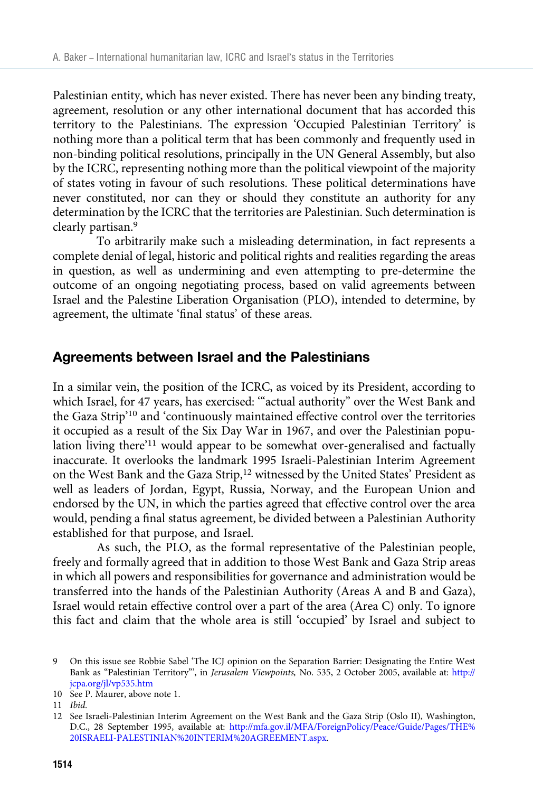Palestinian entity, which has never existed. There has never been any binding treaty, agreement, resolution or any other international document that has accorded this territory to the Palestinians. The expression 'Occupied Palestinian Territory' is nothing more than a political term that has been commonly and frequently used in non-binding political resolutions, principally in the UN General Assembly, but also by the ICRC, representing nothing more than the political viewpoint of the majority of states voting in favour of such resolutions. These political determinations have never constituted, nor can they or should they constitute an authority for any determination by the ICRC that the territories are Palestinian. Such determination is clearly partisan.9

To arbitrarily make such a misleading determination, in fact represents a complete denial of legal, historic and political rights and realities regarding the areas in question, as well as undermining and even attempting to pre-determine the outcome of an ongoing negotiating process, based on valid agreements between Israel and the Palestine Liberation Organisation (PLO), intended to determine, by agreement, the ultimate 'final status' of these areas.

#### Agreements between Israel and the Palestinians

In a similar vein, the position of the ICRC, as voiced by its President, according to which Israel, for 47 years, has exercised: '"actual authority" over the West Bank and the Gaza Strip<sup>'10</sup> and 'continuously maintained effective control over the territories it occupied as a result of the Six Day War in 1967, and over the Palestinian population living there<sup>'11</sup> would appear to be somewhat over-generalised and factually inaccurate. It overlooks the landmark 1995 Israeli-Palestinian Interim Agreement on the West Bank and the Gaza Strip,<sup>12</sup> witnessed by the United States' President as well as leaders of Jordan, Egypt, Russia, Norway, and the European Union and endorsed by the UN, in which the parties agreed that effective control over the area would, pending a final status agreement, be divided between a Palestinian Authority established for that purpose, and Israel.

As such, the PLO, as the formal representative of the Palestinian people, freely and formally agreed that in addition to those West Bank and Gaza Strip areas in which all powers and responsibilities for governance and administration would be transferred into the hands of the Palestinian Authority (Areas A and B and Gaza), Israel would retain effective control over a part of the area (Area C) only. To ignore this fact and claim that the whole area is still 'occupied' by Israel and subject to

<sup>9</sup> On this issue see Robbie Sabel 'The ICJ opinion on the Separation Barrier: Designating the Entire West Bank as "Palestinian Territory"', in Jerusalem Viewpoints, No. 535, 2 October 2005, available at: [http://](http://jcpa.org/jl/vp535.htm) [jcpa.org/jl/vp535.htm](http://jcpa.org/jl/vp535.htm)

<sup>10</sup> See P. Maurer, above note 1.

<sup>11</sup> Ibid.

<sup>12</sup> See Israeli-Palestinian Interim Agreement on the West Bank and the Gaza Strip (Oslo II), Washington, D.C., 28 September 1995, available at: [http://mfa.gov.il/MFA/ForeignPolicy/Peace/Guide/Pages/THE%](http://mfa.gov.il/MFA/ForeignPolicy/Peace/Guide/Pages/THE%20ISRAELI-PALESTINIAN%20INTERIM%20AGREEMENT.aspx) [20ISRAELI-PALESTINIAN%20INTERIM%20AGREEMENT.aspx.](http://mfa.gov.il/MFA/ForeignPolicy/Peace/Guide/Pages/THE%20ISRAELI-PALESTINIAN%20INTERIM%20AGREEMENT.aspx)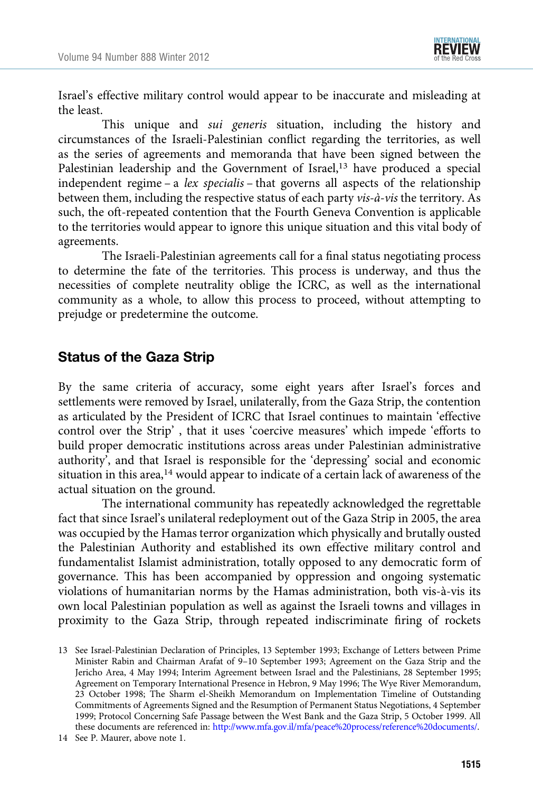Israel's effective military control would appear to be inaccurate and misleading at the least.

This unique and sui generis situation, including the history and circumstances of the Israeli-Palestinian conflict regarding the territories, as well as the series of agreements and memoranda that have been signed between the Palestinian leadership and the Government of Israel,<sup>13</sup> have produced a special independent regime – a lex specialis – that governs all aspects of the relationship between them, including the respective status of each party vis-à-vis the territory. As such, the oft-repeated contention that the Fourth Geneva Convention is applicable to the territories would appear to ignore this unique situation and this vital body of agreements.

The Israeli-Palestinian agreements call for a final status negotiating process to determine the fate of the territories. This process is underway, and thus the necessities of complete neutrality oblige the ICRC, as well as the international community as a whole, to allow this process to proceed, without attempting to prejudge or predetermine the outcome.

# Status of the Gaza Strip

By the same criteria of accuracy, some eight years after Israel's forces and settlements were removed by Israel, unilaterally, from the Gaza Strip, the contention as articulated by the President of ICRC that Israel continues to maintain 'effective control over the Strip' , that it uses 'coercive measures' which impede 'efforts to build proper democratic institutions across areas under Palestinian administrative authority', and that Israel is responsible for the 'depressing' social and economic situation in this area,<sup>14</sup> would appear to indicate of a certain lack of awareness of the actual situation on the ground.

The international community has repeatedly acknowledged the regrettable fact that since Israel's unilateral redeployment out of the Gaza Strip in 2005, the area was occupied by the Hamas terror organization which physically and brutally ousted the Palestinian Authority and established its own effective military control and fundamentalist Islamist administration, totally opposed to any democratic form of governance. This has been accompanied by oppression and ongoing systematic violations of humanitarian norms by the Hamas administration, both vis-à-vis its own local Palestinian population as well as against the Israeli towns and villages in proximity to the Gaza Strip, through repeated indiscriminate firing of rockets

14 See P. Maurer, above note 1.

<sup>13</sup> See Israel-Palestinian Declaration of Principles, 13 September 1993; Exchange of Letters between Prime Minister Rabin and Chairman Arafat of 9–10 September 1993; Agreement on the Gaza Strip and the Jericho Area, 4 May 1994; Interim Agreement between Israel and the Palestinians, 28 September 1995; Agreement on Temporary International Presence in Hebron, 9 May 1996; The Wye River Memorandum, 23 October 1998; The Sharm el-Sheikh Memorandum on Implementation Timeline of Outstanding Commitments of Agreements Signed and the Resumption of Permanent Status Negotiations, 4 September 1999; Protocol Concerning Safe Passage between the West Bank and the Gaza Strip, 5 October 1999. All these documents are referenced in: <http://www.mfa.gov.il/mfa/peace%20process/reference%20documents/>.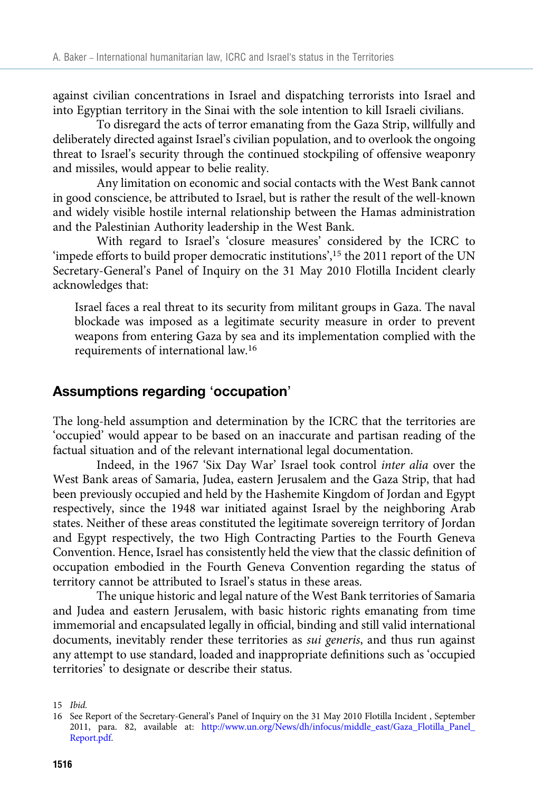against civilian concentrations in Israel and dispatching terrorists into Israel and into Egyptian territory in the Sinai with the sole intention to kill Israeli civilians.

To disregard the acts of terror emanating from the Gaza Strip, willfully and deliberately directed against Israel's civilian population, and to overlook the ongoing threat to Israel's security through the continued stockpiling of offensive weaponry and missiles, would appear to belie reality.

Any limitation on economic and social contacts with the West Bank cannot in good conscience, be attributed to Israel, but is rather the result of the well-known and widely visible hostile internal relationship between the Hamas administration and the Palestinian Authority leadership in the West Bank.

With regard to Israel's 'closure measures' considered by the ICRC to 'impede efforts to build proper democratic institutions',<sup>15</sup> the 2011 report of the UN Secretary-General's Panel of Inquiry on the 31 May 2010 Flotilla Incident clearly acknowledges that:

Israel faces a real threat to its security from militant groups in Gaza. The naval blockade was imposed as a legitimate security measure in order to prevent weapons from entering Gaza by sea and its implementation complied with the requirements of international law.<sup>16</sup>

#### Assumptions regarding 'occupation'

The long-held assumption and determination by the ICRC that the territories are 'occupied' would appear to be based on an inaccurate and partisan reading of the factual situation and of the relevant international legal documentation.

Indeed, in the 1967 'Six Day War' Israel took control inter alia over the West Bank areas of Samaria, Judea, eastern Jerusalem and the Gaza Strip, that had been previously occupied and held by the Hashemite Kingdom of Jordan and Egypt respectively, since the 1948 war initiated against Israel by the neighboring Arab states. Neither of these areas constituted the legitimate sovereign territory of Jordan and Egypt respectively, the two High Contracting Parties to the Fourth Geneva Convention. Hence, Israel has consistently held the view that the classic definition of occupation embodied in the Fourth Geneva Convention regarding the status of territory cannot be attributed to Israel's status in these areas.

The unique historic and legal nature of the West Bank territories of Samaria and Judea and eastern Jerusalem, with basic historic rights emanating from time immemorial and encapsulated legally in official, binding and still valid international documents, inevitably render these territories as *sui generis*, and thus run against any attempt to use standard, loaded and inappropriate definitions such as 'occupied territories' to designate or describe their status.

15 Ibid.

<sup>16</sup> See Report of the Secretary-General's Panel of Inquiry on the 31 May 2010 Flotilla Incident , September 2011, para. 82, available at: [http://www.un.org/News/dh/infocus/middle\\_east/Gaza\\_Flotilla\\_Panel\\_](http://www.un.org/News/dh/infocus/middle_east/Gaza_Flotilla_Panel_Report.pdf) [Report.pdf](http://www.un.org/News/dh/infocus/middle_east/Gaza_Flotilla_Panel_Report.pdf).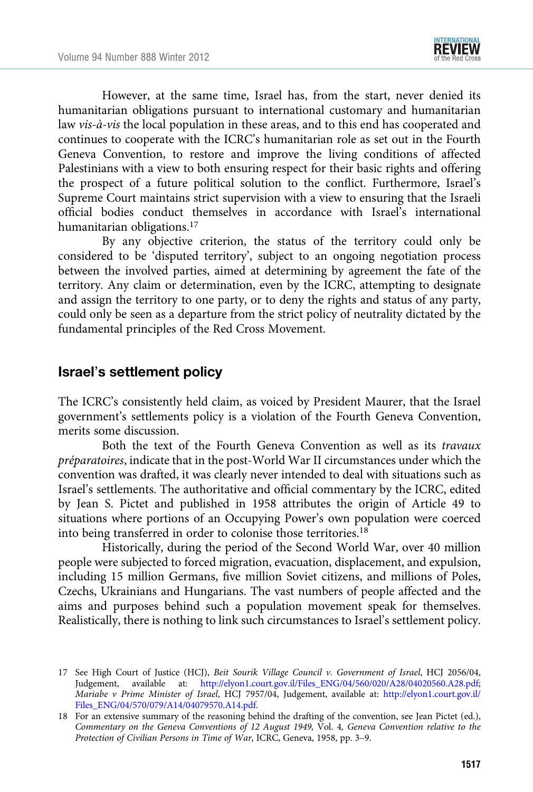

However, at the same time, Israel has, from the start, never denied its humanitarian obligations pursuant to international customary and humanitarian law vis-à-vis the local population in these areas, and to this end has cooperated and continues to cooperate with the ICRC's humanitarian role as set out in the Fourth Geneva Convention, to restore and improve the living conditions of affected Palestinians with a view to both ensuring respect for their basic rights and offering the prospect of a future political solution to the conflict. Furthermore, Israel's Supreme Court maintains strict supervision with a view to ensuring that the Israeli official bodies conduct themselves in accordance with Israel's international humanitarian obligations.<sup>17</sup>

By any objective criterion, the status of the territory could only be considered to be 'disputed territory', subject to an ongoing negotiation process between the involved parties, aimed at determining by agreement the fate of the territory. Any claim or determination, even by the ICRC, attempting to designate and assign the territory to one party, or to deny the rights and status of any party, could only be seen as a departure from the strict policy of neutrality dictated by the fundamental principles of the Red Cross Movement.

## Israel's settlement policy

The ICRC's consistently held claim, as voiced by President Maurer, that the Israel government's settlements policy is a violation of the Fourth Geneva Convention, merits some discussion.

Both the text of the Fourth Geneva Convention as well as its travaux préparatoires, indicate that in the post-World War II circumstances under which the convention was drafted, it was clearly never intended to deal with situations such as Israel's settlements. The authoritative and official commentary by the ICRC, edited by Jean S. Pictet and published in 1958 attributes the origin of Article 49 to situations where portions of an Occupying Power's own population were coerced into being transferred in order to colonise those territories.18

Historically, during the period of the Second World War, over 40 million people were subjected to forced migration, evacuation, displacement, and expulsion, including 15 million Germans, five million Soviet citizens, and millions of Poles, Czechs, Ukrainians and Hungarians. The vast numbers of people affected and the aims and purposes behind such a population movement speak for themselves. Realistically, there is nothing to link such circumstances to Israel's settlement policy.

<sup>17</sup> See High Court of Justice (HCJ), Beit Sourik Village Council v. Government of Israel, HCJ 2056/04, Judgement, available at: [http://elyon1.court.gov.il/Files\\_ENG/04/560/020/A28/04020560.A28.pdf](http://elyon1.court.gov.il/Files_ENG/04/560/020/A28/04020560.A28.pdf); Mariabe v Prime Minister of Israel, HCJ 7957/04, Judgement, available at: [http://elyon1.court.gov.il/](http://elyon1.court.gov.il/Files_ENG/04/570/079/A14/04079570.A14.pdf) [Files\\_ENG/04/570/079/A14/04079570.A14.pdf.](http://elyon1.court.gov.il/Files_ENG/04/570/079/A14/04079570.A14.pdf)

<sup>18</sup> For an extensive summary of the reasoning behind the drafting of the convention, see Jean Pictet (ed.), Commentary on the Geneva Conventions of 12 August 1949, Vol. 4, Geneva Convention relative to the Protection of Civilian Persons in Time of War, ICRC, Geneva, 1958, pp. 3–9.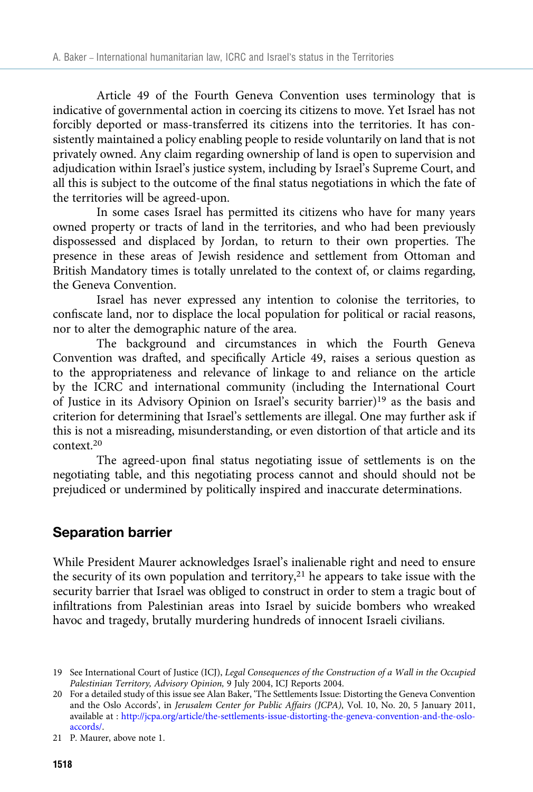Article 49 of the Fourth Geneva Convention uses terminology that is indicative of governmental action in coercing its citizens to move. Yet Israel has not forcibly deported or mass-transferred its citizens into the territories. It has consistently maintained a policy enabling people to reside voluntarily on land that is not privately owned. Any claim regarding ownership of land is open to supervision and adjudication within Israel's justice system, including by Israel's Supreme Court, and all this is subject to the outcome of the final status negotiations in which the fate of the territories will be agreed-upon.

In some cases Israel has permitted its citizens who have for many years owned property or tracts of land in the territories, and who had been previously dispossessed and displaced by Jordan, to return to their own properties. The presence in these areas of Jewish residence and settlement from Ottoman and British Mandatory times is totally unrelated to the context of, or claims regarding, the Geneva Convention.

Israel has never expressed any intention to colonise the territories, to confiscate land, nor to displace the local population for political or racial reasons, nor to alter the demographic nature of the area.

The background and circumstances in which the Fourth Geneva Convention was drafted, and specifically Article 49, raises a serious question as to the appropriateness and relevance of linkage to and reliance on the article by the ICRC and international community (including the International Court of Justice in its Advisory Opinion on Israel's security barrier)19 as the basis and criterion for determining that Israel's settlements are illegal. One may further ask if this is not a misreading, misunderstanding, or even distortion of that article and its context.20

The agreed-upon final status negotiating issue of settlements is on the negotiating table, and this negotiating process cannot and should should not be prejudiced or undermined by politically inspired and inaccurate determinations.

## Separation barrier

While President Maurer acknowledges Israel's inalienable right and need to ensure the security of its own population and territory, $2<sup>1</sup>$  he appears to take issue with the security barrier that Israel was obliged to construct in order to stem a tragic bout of infiltrations from Palestinian areas into Israel by suicide bombers who wreaked havoc and tragedy, brutally murdering hundreds of innocent Israeli civilians.

<sup>19</sup> See International Court of Justice (ICJ), Legal Consequences of the Construction of a Wall in the Occupied Palestinian Territory, Advisory Opinion, 9 July 2004, ICJ Reports 2004.

<sup>20</sup> For a detailed study of this issue see Alan Baker, 'The Settlements Issue: Distorting the Geneva Convention and the Oslo Accords', in Jerusalem Center for Public Affairs (JCPA), Vol. 10, No. 20, 5 January 2011, available at : [http://jcpa.org/article/the-settlements-issue-distorting-the-geneva-convention-and-the-oslo](http://jcpa.org/article/the-settlements-issue-distorting-the-geneva-convention-and-the-oslo-accords/)[accords/](http://jcpa.org/article/the-settlements-issue-distorting-the-geneva-convention-and-the-oslo-accords/).

<sup>21</sup> P. Maurer, above note 1.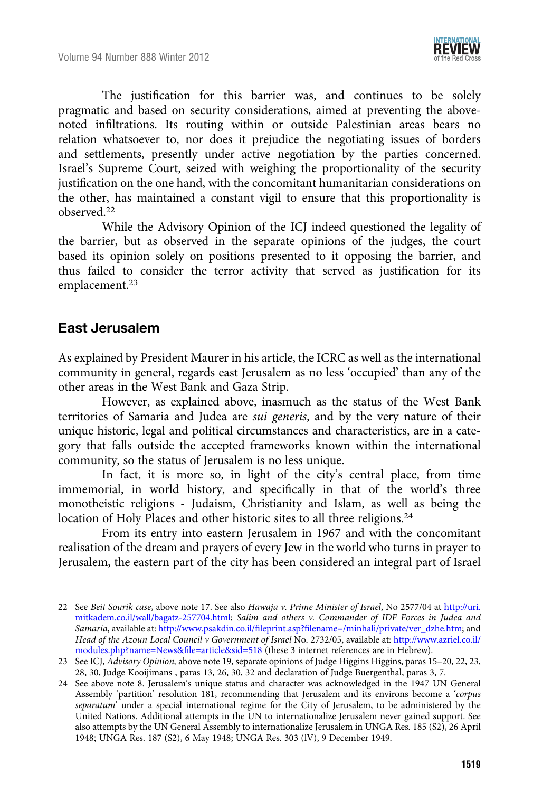

The justification for this barrier was, and continues to be solely pragmatic and based on security considerations, aimed at preventing the abovenoted infiltrations. Its routing within or outside Palestinian areas bears no relation whatsoever to, nor does it prejudice the negotiating issues of borders and settlements, presently under active negotiation by the parties concerned. Israel's Supreme Court, seized with weighing the proportionality of the security justification on the one hand, with the concomitant humanitarian considerations on the other, has maintained a constant vigil to ensure that this proportionality is observed.<sup>22</sup>

While the Advisory Opinion of the ICJ indeed questioned the legality of the barrier, but as observed in the separate opinions of the judges, the court based its opinion solely on positions presented to it opposing the barrier, and thus failed to consider the terror activity that served as justification for its emplacement.23

## East Jerusalem

As explained by President Maurer in his article, the ICRC as well as the international community in general, regards east Jerusalem as no less 'occupied' than any of the other areas in the West Bank and Gaza Strip.

However, as explained above, inasmuch as the status of the West Bank territories of Samaria and Judea are sui generis, and by the very nature of their unique historic, legal and political circumstances and characteristics, are in a category that falls outside the accepted frameworks known within the international community, so the status of Jerusalem is no less unique.

In fact, it is more so, in light of the city's central place, from time immemorial, in world history, and specifically in that of the world's three monotheistic religions - Judaism, Christianity and Islam, as well as being the location of Holy Places and other historic sites to all three religions.<sup>24</sup>

From its entry into eastern Jerusalem in 1967 and with the concomitant realisation of the dream and prayers of every Jew in the world who turns in prayer to Jerusalem, the eastern part of the city has been considered an integral part of Israel

<sup>22</sup> See Beit Sourik case, above note 17. See also Hawaja v. Prime Minister of Israel, No 2577/04 at [http://uri.](http://uri.mitkadem.co.il/wall/bagatz-257704.html) [mitkadem.co.il/wall/bagatz-257704.html;](http://uri.mitkadem.co.il/wall/bagatz-257704.html) Salim and others v. Commander of IDF Forces in Judea and Samaria, available at: [http:/](http://www.psakdin.co.il/fileprint.asp?filename=/minhali/private/ver_dzhe.htm)/www.psakdin.co.il/fileprint.asp?fi[lename=/minhali/private/ver\\_dzhe.htm](http://www.psakdin.co.il/fileprint.asp?filename=/minhali/private/ver_dzhe.htm); and Head of the Azoun Local Council v Government of Israel No. 2732/05, available at: [http://www.azriel.co.il/](http://www.azriel.co.il/modules.php?name=News&file=article&sid=518) [modules.php?name=News&](http://www.azriel.co.il/modules.php?name=News&file=article&sid=518)file=article&sid=518 (these 3 internet references are in Hebrew).

<sup>23</sup> See ICJ, Advisory Opinion, above note 19, separate opinions of Judge Higgins Higgins, paras 15–20, 22, 23, 28, 30, Judge Kooijimans , paras 13, 26, 30, 32 and declaration of Judge Buergenthal, paras 3, 7.

<sup>24</sup> See above note 8. Jerusalem's unique status and character was acknowledged in the 1947 UN General Assembly 'partition' resolution 181, recommending that Jerusalem and its environs become a 'corpus separatum' under a special international regime for the City of Jerusalem, to be administered by the United Nations. Additional attempts in the UN to internationalize Jerusalem never gained support. See also attempts by the UN General Assembly to internationalize Jerusalem in UNGA Res. 185 (S2), 26 April 1948; UNGA Res. 187 (S2), 6 May 1948; UNGA Res. 303 (lV), 9 December 1949.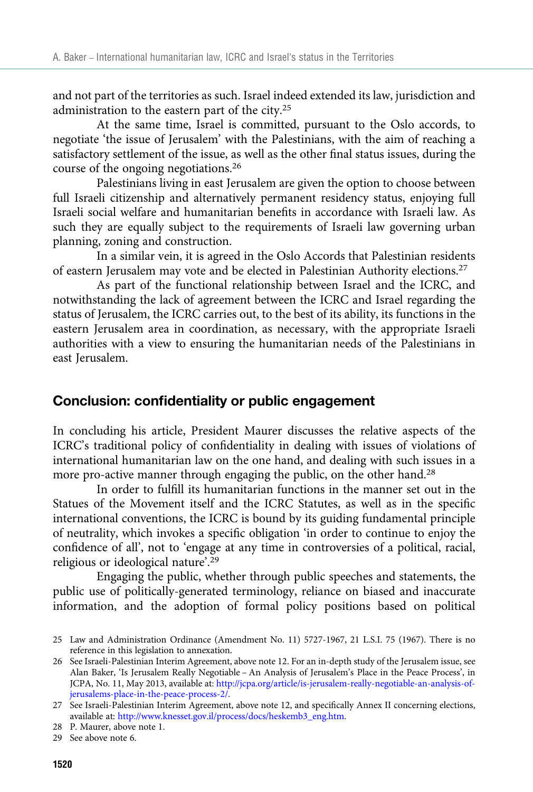and not part of the territories as such. Israel indeed extended its law, jurisdiction and administration to the eastern part of the city.25

At the same time, Israel is committed, pursuant to the Oslo accords, to negotiate 'the issue of Jerusalem' with the Palestinians, with the aim of reaching a satisfactory settlement of the issue, as well as the other final status issues, during the course of the ongoing negotiations.<sup>26</sup>

Palestinians living in east Jerusalem are given the option to choose between full Israeli citizenship and alternatively permanent residency status, enjoying full Israeli social welfare and humanitarian benefits in accordance with Israeli law. As such they are equally subject to the requirements of Israeli law governing urban planning, zoning and construction.

In a similar vein, it is agreed in the Oslo Accords that Palestinian residents of eastern Jerusalem may vote and be elected in Palestinian Authority elections.27

As part of the functional relationship between Israel and the ICRC, and notwithstanding the lack of agreement between the ICRC and Israel regarding the status of Jerusalem, the ICRC carries out, to the best of its ability, its functions in the eastern Jerusalem area in coordination, as necessary, with the appropriate Israeli authorities with a view to ensuring the humanitarian needs of the Palestinians in east Jerusalem.

#### Conclusion: confidentiality or public engagement

In concluding his article, President Maurer discusses the relative aspects of the ICRC's traditional policy of confidentiality in dealing with issues of violations of international humanitarian law on the one hand, and dealing with such issues in a more pro-active manner through engaging the public, on the other hand.<sup>28</sup>

In order to fulfill its humanitarian functions in the manner set out in the Statues of the Movement itself and the ICRC Statutes, as well as in the specific international conventions, the ICRC is bound by its guiding fundamental principle of neutrality, which invokes a specific obligation 'in order to continue to enjoy the confidence of all', not to 'engage at any time in controversies of a political, racial, religious or ideological nature'. 29

Engaging the public, whether through public speeches and statements, the public use of politically-generated terminology, reliance on biased and inaccurate information, and the adoption of formal policy positions based on political

<sup>25</sup> Law and Administration Ordinance (Amendment No. 11) 5727-1967, 21 L.S.I. 75 (1967). There is no reference in this legislation to annexation.

<sup>26</sup> See Israeli-Palestinian Interim Agreement, above note 12. For an in-depth study of the Jerusalem issue, see Alan Baker, 'Is Jerusalem Really Negotiable – An Analysis of Jerusalem's Place in the Peace Process', in JCPA, No. 11, May 2013, available at: [http://jcpa.org/article/is-jerusalem-really-negotiable-an-analysis-of](http://jcpa.org/article/is-jerusalem-really-negotiable-an-analysis-of-jerusalems-place-in-the-peace-process-2/)[jerusalems-place-in-the-peace-process-2/.](http://jcpa.org/article/is-jerusalem-really-negotiable-an-analysis-of-jerusalems-place-in-the-peace-process-2/)

<sup>27</sup> See Israeli-Palestinian Interim Agreement, above note 12, and specifically Annex II concerning elections, available at: [http://www.knesset.gov.il/process/docs/heskemb3\\_eng.htm.](http://www.knesset.gov.il/process/docs/heskemb3_eng.htm)

<sup>28</sup> P. Maurer, above note 1.

<sup>29</sup> See above note 6.